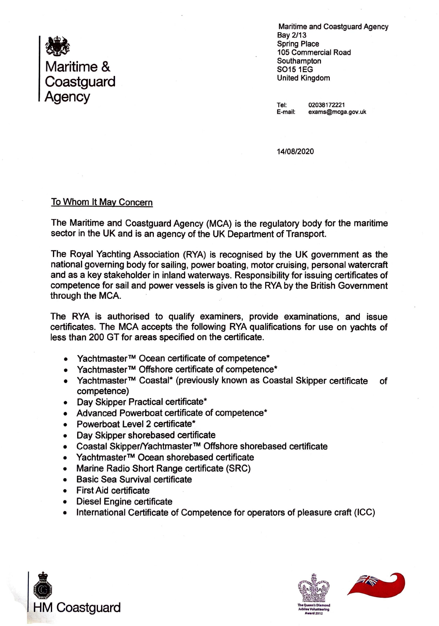

Maritime and Coastguard Agency Bay 2/13 Spring Place 105 Commercial Road Southampton S0151EG United Kingdom

Tel: 02038172221<br>E-mail: exams@mcga exams@mcga.gov.uk

14/08/2020

## To Whom It May Concern

The Maritime and Coastguard Agency (MCA) is the regulatory body for the maritime sector in the UK and is an agency of the UK Department of Transport.

The Royal Yachting Association (RYA) is recognised by the UK government as the national governing body for sailing, power boating, motor cruising, personal watercraft and as a key stakeholder in inland waterways. Responsibility for issuing certificates of competence for sail and power vessels is given to the RYA by the British Government through the MCA.

The RYA is authorised to qualify examiners, provide examinations, and issue certificates. The MCA accepts the following RYA qualifications for use on yachts of less than 200 GT for areas specified on the certificate.

- Yachtmaster™ Ocean certificate of competence\*
- Yachtmaster™ Offshore certificate of competence\*
- Yachtmaster™ Coastal\* (previously known as Coastal Skipper certificate of competence)
- Day Skipper Practical certificate\*
- Advanced Powerboat certificate of competence\*
- Powerboat Level 2 certificate\*
- Day Skipper shorebased certificate
- Coastal Skipper/Yachtmaster™ Offshore shorebased certificate
- Yachtmaster™ Ocean shorebased certificate
- Marine Radio Short Range certificate (SRC)
- Basic Sea Survival certificate
- **First Aid certificate**
- Diesel Engine certificate
- International Certificate of Competence for operators of pleasure craft (ICC)